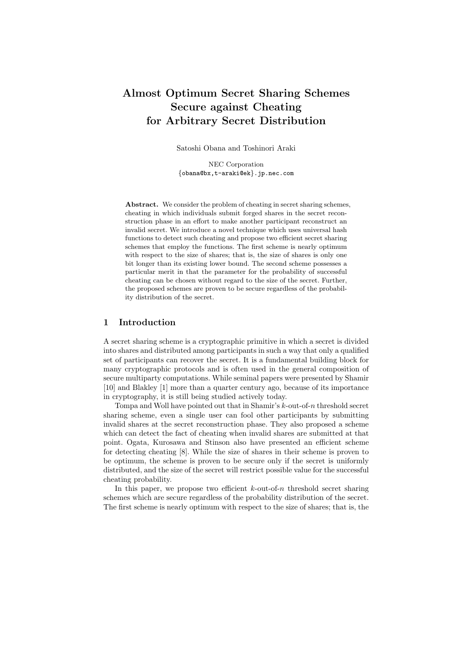# **Almost Optimum Secret Sharing Schemes Secure against Cheating for Arbitrary Secret Distribution**

Satoshi Obana and Toshinori Araki

NEC Corporation *{*obana@bx,t-araki@ek*}*.jp.nec.com

Abstract. We consider the problem of cheating in secret sharing schemes, cheating in which individuals submit forged shares in the secret reconstruction phase in an effort to make another participant reconstruct an invalid secret. We introduce a novel technique which uses universal hash functions to detect such cheating and propose two efficient secret sharing schemes that employ the functions. The first scheme is nearly optimum with respect to the size of shares; that is, the size of shares is only one bit longer than its existing lower bound. The second scheme possesses a particular merit in that the parameter for the probability of successful cheating can be chosen without regard to the size of the secret. Further, the proposed schemes are proven to be secure regardless of the probability distribution of the secret.

## **1 Introduction**

A secret sharing scheme is a cryptographic primitive in which a secret is divided into shares and distributed among participants in such a way that only a qualified set of participants can recover the secret. It is a fundamental building block for many cryptographic protocols and is often used in the general composition of secure multiparty computations. While seminal papers were presented by Shamir [10] and Blakley [1] more than a quarter century ago, because of its importance in cryptography, it is still being studied actively today.

Tompa and Woll have pointed out that in Shamir's *k*-out-of-*n* threshold secret sharing scheme, even a single user can fool other participants by submitting invalid shares at the secret reconstruction phase. They also proposed a scheme which can detect the fact of cheating when invalid shares are submitted at that point. Ogata, Kurosawa and Stinson also have presented an efficient scheme for detecting cheating [8]. While the size of shares in their scheme is proven to be optimum, the scheme is proven to be secure only if the secret is uniformly distributed, and the size of the secret will restrict possible value for the successful cheating probability.

In this paper, we propose two efficient *k*-out-of-*n* threshold secret sharing schemes which are secure regardless of the probability distribution of the secret. The first scheme is nearly optimum with respect to the size of shares; that is, the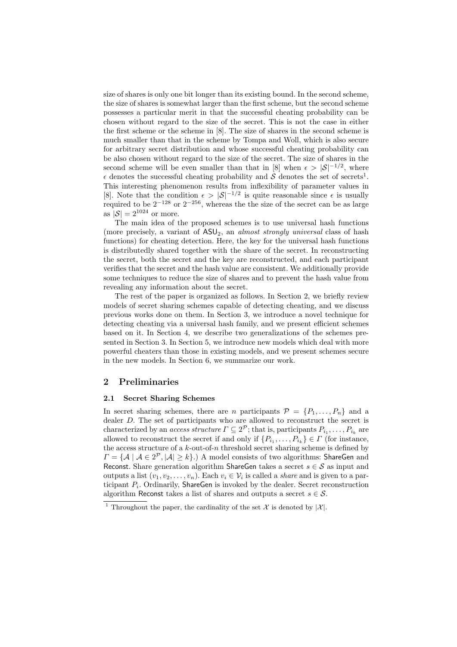size of shares is only one bit longer than its existing bound. In the second scheme, the size of shares is somewhat larger than the first scheme, but the second scheme possesses a particular merit in that the successful cheating probability can be chosen without regard to the size of the secret. This is not the case in either the first scheme or the scheme in [8]. The size of shares in the second scheme is much smaller than that in the scheme by Tompa and Woll, which is also secure for arbitrary secret distribution and whose successful cheating probability can be also chosen without regard to the size of the secret. The size of shares in the second scheme will be even smaller than that in [8] when  $\epsilon > |\mathcal{S}|^{-1/2}$ , where  $\epsilon$  denotes the successful cheating probability and  $\mathcal S$  denotes the set of secrets<sup>1</sup>. This interesting phenomenon results from inflexibility of parameter values in [8]. Note that the condition  $\epsilon > |\mathcal{S}|^{-1/2}$  is quite reasonable since  $\epsilon$  is usually required to be 2*<sup>−</sup>*<sup>128</sup> or 2*<sup>−</sup>*<sup>256</sup>, whereas the the size of the secret can be as large as  $|\mathcal{S}| = 2^{1024}$  or more.

The main idea of the proposed schemes is to use universal hash functions (more precisely, a variant of ASU2, an *almost strongly universal* class of hash functions) for cheating detection. Here, the key for the universal hash functions is distributedly shared together with the share of the secret. In reconstructing the secret, both the secret and the key are reconstructed, and each participant verifies that the secret and the hash value are consistent. We additionally provide some techniques to reduce the size of shares and to prevent the hash value from revealing any information about the secret.

The rest of the paper is organized as follows. In Section 2, we briefly review models of secret sharing schemes capable of detecting cheating, and we discuss previous works done on them. In Section 3, we introduce a novel technique for detecting cheating via a universal hash family, and we present efficient schemes based on it. In Section 4, we describe two generalizations of the schemes presented in Section 3. In Section 5, we introduce new models which deal with more powerful cheaters than those in existing models, and we present schemes secure in the new models. In Section 6, we summarize our work.

# **2 Preliminaries**

#### **2.1 Secret Sharing Schemes**

In secret sharing schemes, there are *n* participants  $\mathcal{P} = \{P_1, \ldots, P_n\}$  and a dealer *D*. The set of participants who are allowed to reconstruct the secret is characterized by an *access structure*  $\Gamma \subseteq 2^{\mathcal{P}}$ ; that is, participants  $P_{i_1}, \ldots, P_{i_k}$  are allowed to reconstruct the secret if and only if  $\{P_{i_1}, \ldots, P_{i_k}\} \in \Gamma$  (for instance, the access structure of a *k*-out-of-*n* threshold secret sharing scheme is defined by  $\varGamma = \{ \mathcal{A} \mid \mathcal{A} \in 2^{\mathcal{P}}, |\mathcal{A}| \geq k \}.$ ) A model consists of two algorithms: ShareGen and Reconst. Share generation algorithm ShareGen takes a secret *s ∈ S* as input and outputs a list  $(v_1, v_2, \ldots, v_n)$ . Each  $v_i \in V_i$  is called a *share* and is given to a participant  $P_i$ . Ordinarily, ShareGen is invoked by the dealer. Secret reconstruction algorithm Reconst takes a list of shares and outputs a secret  $s \in \mathcal{S}$ .

<sup>&</sup>lt;sup>1</sup> Throughout the paper, the cardinality of the set  $\mathcal{X}$  is denoted by  $|\mathcal{X}|$ .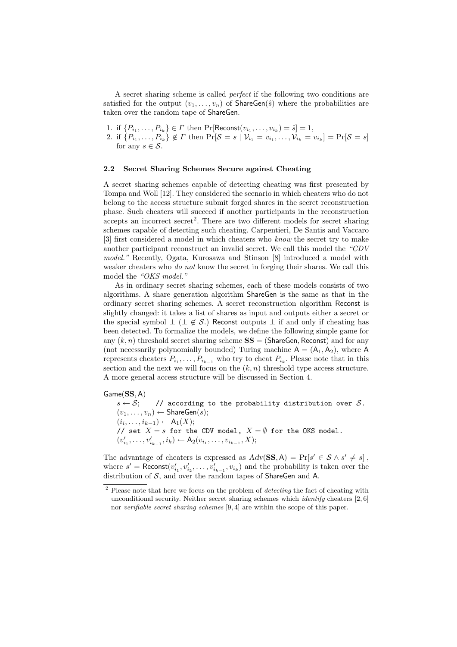A secret sharing scheme is called *perfect* if the following two conditions are satisfied for the output  $(v_1, \ldots, v_n)$  of ShareGen( $\hat{s}$ ) where the probabilities are taken over the random tape of ShareGen.

- 1. if  $\{P_{i_1}, \ldots, P_{i_k}\} \in \Gamma$  then  $\Pr[\text{Reconst}(v_{i_1}, \ldots, v_{i_k}) = \hat{s}] = 1$ ,
- 2. if  $\{P_{i_1},...,P_{i_k}\}\notin\Gamma$  then  $\Pr[\mathcal{S}=s | \mathcal{V}_{i_1}=v_{i_1},..., \mathcal{V}_{i_k}=v_{i_k}]=\Pr[\mathcal{S}=s]$ for any  $s \in \mathcal{S}$ .

#### **2.2 Secret Sharing Schemes Secure against Cheating**

A secret sharing schemes capable of detecting cheating was first presented by Tompa and Woll [12]. They considered the scenario in which cheaters who do not belong to the access structure submit forged shares in the secret reconstruction phase. Such cheaters will succeed if another participants in the reconstruction  $accepts$  an incorrect secret<sup>2</sup>. There are two different models for secret sharing schemes capable of detecting such cheating. Carpentieri, De Santis and Vaccaro [3] first considered a model in which cheaters who *know* the secret try to make another participant reconstruct an invalid secret. We call this model the *"CDV model."* Recently, Ogata, Kurosawa and Stinson [8] introduced a model with weaker cheaters who *do not* know the secret in forging their shares. We call this model the *"OKS model."*

As in ordinary secret sharing schemes, each of these models consists of two algorithms. A share generation algorithm ShareGen is the same as that in the ordinary secret sharing schemes. A secret reconstruction algorithm Reconst is slightly changed: it takes a list of shares as input and outputs either a secret or the special symbol  $\perp$  ( $\perp \notin S$ .) Reconst outputs  $\perp$  if and only if cheating has been detected. To formalize the models, we define the following simple game for any  $(k, n)$  threshold secret sharing scheme  $SS = (ShareGen, Records)$  and for any (not necessarily polynomially bounded) Turing machine  $A = (A_1, A_2)$ , where A represents cheaters  $P_{i_1}, \ldots, P_{i_{k-1}}$  who try to cheat  $P_{i_k}$ . Please note that in this section and the next we will focus on the  $(k, n)$  threshold type access structure. A more general access structure will be discussed in Section 4.

## Game(**SS***,*A)

 $s \leftarrow S$ ; // according to the probability distribution over *S*.  $(v_1, \ldots, v_n) \leftarrow$  ShareGen(s);  $(i_i, \ldots, i_{k-1}) \leftarrow A_1(X);$ // set  $X = s$  for the CDV model,  $X = \emptyset$  for the OKS model.  $(v'_{i_1}, \ldots, v'_{i_{k-1}}, i_k) \leftarrow A_2(v_{i_1}, \ldots, v_{i_{k-1}}, X);$ 

The advantage of cheaters is expressed as  $Adv(\text{SS}, A) = Pr[s' \in S \land s' \neq s]$ , where  $s' = \text{Reconst}(v'_{i_1}, v'_{i_2}, \dots, v'_{i_{k-1}}, v_{i_k})$  and the probability is taken over the distribution of *S*, and over the random tapes of ShareGen and A.

<sup>2</sup> Please note that here we focus on the problem of *detecting* the fact of cheating with unconditional security. Neither secret sharing schemes which *identify* cheaters [2, 6] nor *verifiable secret sharing schemes* [9, 4] are within the scope of this paper.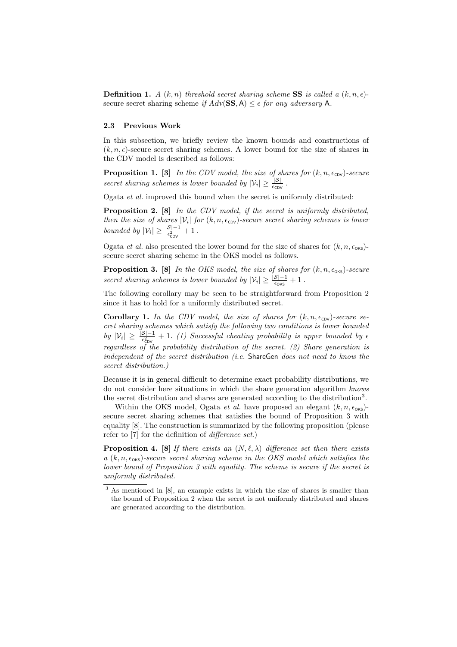**Definition 1.** *A*  $(k, n)$  *threshold secret sharing scheme* **SS** *is called a*  $(k, n, \epsilon)$ secure secret sharing scheme *if*  $Adv(\mathbf{SS}, A) \leq \epsilon$  *for any adversary* A.

#### **2.3 Previous Work**

In this subsection, we briefly review the known bounds and constructions of  $(k, n, \epsilon)$ -secure secret sharing schemes. A lower bound for the size of shares in the CDV model is described as follows:

**Proposition 1.** [3] *In the CDV model, the size of shares for*  $(k, n, \epsilon_{\text{cov}})$ -secure *secret sharing schemes is lower bounded by*  $|\mathcal{V}_i| \geq \frac{|\mathcal{S}|}{\epsilon_{\text{CDV}}}$ .

Ogata *et al.* improved this bound when the secret is uniformly distributed:

**Proposition 2. [8]** *In the CDV model, if the secret is uniformly distributed, then the size of shares*  $|V_i|$  *for*  $(k, n, \epsilon_{\text{cov}})$ -secure secret sharing schemes is lower *bounded by*  $|\mathcal{V}_i| \geq \frac{|\mathcal{S}| - 1}{\epsilon_{\text{CDV}}^2} + 1$ .

Ogata *et al.* also presented the lower bound for the size of shares for  $(k, n, \epsilon_{\text{OKS}})$ secure secret sharing scheme in the OKS model as follows.

**Proposition 3.** [8] *In the OKS model, the size of shares for*  $(k, n, \epsilon_{\text{OKS}})$ -secure *secret sharing schemes is lower bounded by*  $|\mathcal{V}_i| \geq \frac{|\mathcal{S}|-1}{\epsilon_{\text{OKS}}} + 1$ .

The following corollary may be seen to be straightforward from Proposition 2 since it has to hold for a uniformly distributed secret.

**Corollary 1.** In the CDV model, the size of shares for  $(k, n, \epsilon_{\text{CDV}})$ -secure se*cret sharing schemes which satisfy the following two conditions is lower bounded*  $|by \, |V_i| \geq \frac{|S|-1}{\epsilon_{\text{cov}}^2} + 1$ . (1) Successful cheating probability is upper bounded by  $\epsilon$ *regardless of the probability distribution of the secret. (2) Share generation is independent of the secret distribution (i.e.* ShareGen *does not need to know the secret distribution.)*

Because it is in general difficult to determine exact probability distributions, we do not consider here situations in which the share generation algorithm *knows* the secret distribution and shares are generated according to the distribution<sup>3</sup>.

Within the OKS model, Ogata *et al.* have proposed an elegant  $(k, n, \epsilon_{\text{OKS}})$ secure secret sharing schemes that satisfies the bound of Proposition 3 with equality [8]. The construction is summarized by the following proposition (please refer to [7] for the definition of *difference set*.)

**Proposition 4.** [8] *If there exists an*  $(N, \ell, \lambda)$  *difference set then there exists*  $a(k, n, \epsilon_{\text{oks}})$ -secure secret sharing scheme in the OKS model which satisfies the *lower bound of Proposition 3 with equality. The scheme is secure if the secret is uniformly distributed.*

<sup>&</sup>lt;sup>3</sup> As mentioned in [8], an example exists in which the size of shares is smaller than the bound of Proposition 2 when the secret is not uniformly distributed and shares are generated according to the distribution.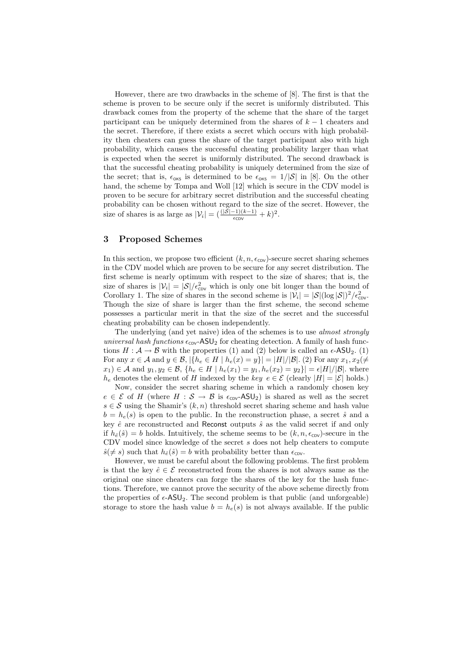However, there are two drawbacks in the scheme of [8]. The first is that the scheme is proven to be secure only if the secret is uniformly distributed. This drawback comes from the property of the scheme that the share of the target participant can be uniquely determined from the shares of *k −* 1 cheaters and the secret. Therefore, if there exists a secret which occurs with high probability then cheaters can guess the share of the target participant also with high probability, which causes the successful cheating probability larger than what is expected when the secret is uniformly distributed. The second drawback is that the successful cheating probability is uniquely determined from the size of the secret; that is,  $\epsilon_{\text{OKS}}$  is determined to be  $\epsilon_{\text{OKS}} = 1/|\mathcal{S}|$  in [8]. On the other hand, the scheme by Tompa and Woll [12] which is secure in the CDV model is proven to be secure for arbitrary secret distribution and the successful cheating probability can be chosen without regard to the size of the secret. However, the size of shares is as large as  $|V_i| = \left(\frac{(|S|-1)(k-1)}{\epsilon_{\text{CDV}}} + k\right)^2$ .

## **3 Proposed Schemes**

In this section, we propose two efficient  $(k, n, \epsilon_{\text{CDV}})$ -secure secret sharing schemes in the CDV model which are proven to be secure for any secret distribution. The first scheme is nearly optimum with respect to the size of shares; that is, the size of shares is  $|V_i| = |\mathcal{S}|/\epsilon_{\text{cov}}^2$  which is only one bit longer than the bound of Corollary 1. The size of shares in the second scheme is  $|\mathcal{V}_i| = |\mathcal{S}|(\log |\mathcal{S}|)^2/\epsilon_{\text{cov}}^2$ . Though the size of share is larger than the first scheme, the second scheme possesses a particular merit in that the size of the secret and the successful cheating probability can be chosen independently.

The underlying (and yet naive) idea of the schemes is to use *almost strongly universal hash functions*  $\epsilon_{\text{cov}}$ -ASU<sub>2</sub> for cheating detection. A family of hash functions  $H : \mathcal{A} \to \mathcal{B}$  with the properties (1) and (2) below is called an  $\epsilon$ -ASU<sub>2</sub>. (1) For any  $x \in \mathcal{A}$  and  $y \in \mathcal{B}$ ,  $|\{h_e \in H \mid h_e(x) = y\}| = |H|/|\mathcal{B}|$ . (2) For any  $x_1, x_2 \neq$  $x_1 \in \mathcal{A}$  and  $y_1, y_2 \in \mathcal{B}$ ,  $\{h_e \in H \mid h_e(x_1) = y_1, h_e(x_2) = y_2\} = \epsilon |H|/|\mathcal{B}|$ . where *h*<sup>*e*</sup> denotes the element of *H* indexed by the *key*  $e \in \mathcal{E}$  (clearly  $|H| = |\mathcal{E}|$  holds.)

Now, consider the secret sharing scheme in which a randomly chosen key  $e \in \mathcal{E}$  of *H* (where  $H : \mathcal{S} \to \mathcal{B}$  is  $\epsilon_{\text{CDV}}$ -ASU<sub>2</sub>) is shared as well as the secret  $s \in \mathcal{S}$  using the Shamir's  $(k, n)$  threshold secret sharing scheme and hash value  $b = h_e(s)$  is open to the public. In the reconstruction phase, a secret  $\hat{s}$  and a key  $\hat{e}$  are reconstructed and Reconstroutputs  $\hat{s}$  as the valid secret if and only if  $h_{\hat{e}}(\hat{s}) = b$  holds. Intuitively, the scheme seems to be  $(k, n, \epsilon_{\text{CDV}})$ -secure in the CDV model since knowledge of the secret *s* does not help cheaters to compute  $\hat{s}(\neq s)$  such that  $h_{\hat{e}}(\hat{s}) = b$  with probability better than  $\epsilon_{\text{CDV}}$ .

However, we must be careful about the following problems. The first problem is that the key  $\hat{e} \in \mathcal{E}$  reconstructed from the shares is not always same as the original one since cheaters can forge the shares of the key for the hash functions. Therefore, we cannot prove the security of the above scheme directly from the properties of  $\epsilon$ -ASU<sub>2</sub>. The second problem is that public (and unforgeable) storage to store the hash value  $b = h_e(s)$  is not always available. If the public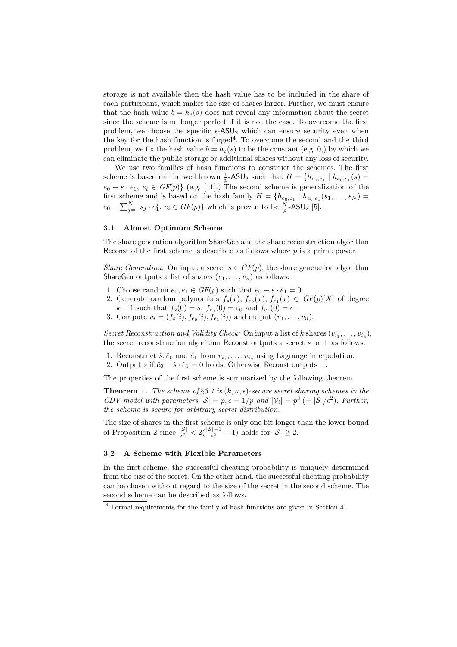storage is not available then the hash value has to be included in the share of each participant, which makes the size of shares larger. Further, we must ensure that the hash value  $b = h_e(s)$  does not reveal any information about the secret since the scheme is no longer perfect if it is not the case. To overcome the first problem, we choose the specific  $\epsilon$ -ASU<sub>2</sub> which can ensure security even when the key for the hash function is forged<sup>4</sup>. To overcome the second and the third problem, we fix the hash value  $b = h_e(s)$  to be the constant (e.g. 0,) by which we can eliminate the public storage or additional shares without any loss of security.

We use two families of hash functions to construct the schemes. The first scheme is based on the well known  $\frac{1}{p}$ -ASU<sub>2</sub> such that  $H = \{h_{e_0, e_1} \mid h_{e_0, e_1}(s) =$  $e_0 - s \cdot e_1, e_i \in GF(p)$ } (e.g. [11].) The second scheme is generalization of the first scheme and is based on the hash family  $H = \{h_{e_0, e_1} \mid h_{e_0, e_1}(s_1, \ldots, s_N) =$  $e_0 - \sum_{j=1}^N s_j \cdot e_1^j$ ,  $e_i \in GF(p)$ } which is proven to be  $\frac{N}{p}$ -ASU<sub>2</sub> [5].

#### **3.1 Almost Optimum Scheme**

The share generation algorithm ShareGen and the share reconstruction algorithm Reconst of the first scheme is described as follows where *p* is a prime power.

*Share Generation:* On input a secret  $s \in GF(p)$ , the share generation algorithm ShareGen outputs a list of shares  $(v_1, \ldots, v_n)$  as follows:

- 1. Choose random  $e_0, e_1 \in GF(p)$  such that  $e_0 s \cdot e_1 = 0$ .
- 2. Generate random polynomials  $f_s(x)$ ,  $f_{e_0}(x)$ ,  $f_{e_1}(x) \in GF(p)[X]$  of degree  $k-1$  such that  $f_s(0) = s$ ,  $f_{e_0}(0) = e_0$  and  $f_{e_1}(0) = e_1$ .
- 3. Compute  $v_i = (f_s(i), f_{e_0}(i), f_{e_1}(i))$  and output  $(v_1, \ldots, v_n)$ .

*Secret Reconstruction and Validity Check:* On input a list of *k* shares  $(v_{i_1}, \ldots, v_{i_k})$ , the secret reconstruction algorithm Reconst outputs a secret *s* or *⊥* as follows:

1. Reconstruct  $\hat{s}, \hat{e}_0$  and  $\hat{e}_1$  from  $v_{i_1}, \ldots, v_{i_k}$  using Lagrange interpolation. 2. Output *s* if  $\hat{e}_0 - \hat{s} \cdot \hat{e}_1 = 0$  holds. Otherwise Reconst outputs  $\perp$ .

The properties of the first scheme is summarized by the following theorem.

**Theorem 1.** *The scheme of*  $§ 3.1$  *is*  $(k, n, \epsilon)$ *-secure secret sharing schemes in the CDV* model with parameters  $|\mathcal{S}| = p$ ,  $\epsilon = 1/p$  and  $|\mathcal{V}_i| = p^3$  (=  $|\mathcal{S}|/\epsilon^2$ ). Further, *the scheme is secure for arbitrary secret distribution.*

The size of shares in the first scheme is only one bit longer than the lower bound of Proposition 2 since  $\frac{|\mathcal{S}|}{\epsilon^2} < 2(\frac{|\mathcal{S}|-1}{\epsilon^2}+1)$  holds for  $|\mathcal{S}| \geq 2$ .

### **3.2 A Scheme with Flexible Parameters**

In the first scheme, the successful cheating probability is uniquely determined from the size of the secret. On the other hand, the successful cheating probability can be chosen without regard to the size of the secret in the second scheme. The second scheme can be described as follows.

<sup>4</sup> Formal requirements for the family of hash functions are given in Section 4.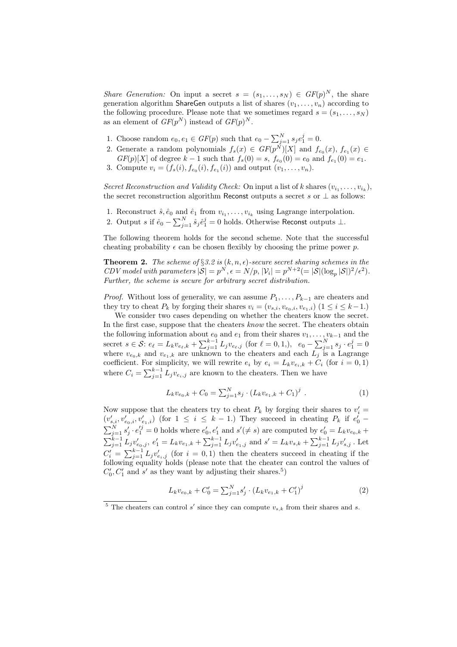*Share Generation:* On input a secret  $s = (s_1, \ldots, s_N) \in GF(p)^N$ , the share generation algorithm **ShareGen** outputs a list of shares  $(v_1, \ldots, v_n)$  according to the following procedure. Please note that we sometimes regard  $s = (s_1, \ldots, s_N)$ as an element of  $GF(p^N)$  instead of  $GF(p)^N$ .

- 1. Choose random  $e_0, e_1 \in GF(p)$  such that  $e_0 \sum_{j=1}^{N} s_j e_1^j = 0$ .
- 2. Generate a random polynomials  $f_s(x) \in GF(p^N)[X]$  and  $f_{e_0}(x)$ ,  $f_{e_1}(x) \in$  $GF(p)[X]$  of degree  $k-1$  such that  $f_s(0) = s$ ,  $f_{e_0}(0) = e_0$  and  $f_{e_1}(0) = e_1$ .
- 3. Compute  $v_i = (f_s(i), f_{e_0}(i), f_{e_1}(i))$  and output  $(v_1, \ldots, v_n)$ .

*Secret Reconstruction and Validity Check:* On input a list of *k* shares  $(v_{i_1}, \ldots, v_{i_k})$ , the secret reconstruction algorithm Reconst outputs a secret *s* or *⊥* as follows:

- 1. Reconstruct  $\hat{s}, \hat{e}_0$  and  $\hat{e}_1$  from  $v_{i_1}, \ldots, v_{i_k}$  using Lagrange interpolation.
- 2. Output *s* if  $\hat{e}_0 \sum_{j=1}^N \hat{s}_j \hat{e}_1^j = 0$  holds. Otherwise Reconst outputs ⊥.

The following theorem holds for the second scheme. Note that the successful cheating probability  $\epsilon$  can be chosen flexibly by choosing the prime power p.

**Theorem 2.** *The scheme of*  $\S 3.2$  *is*  $(k, n, \epsilon)$ *-secure secret sharing schemes in the CDV* model with parameters  $|\mathcal{S}| = p^N$ ,  $\epsilon = N/p$ ,  $|\mathcal{V}_i| = p^{N+2} (= |\mathcal{S}|(\log_p |\mathcal{S}|)^2/\epsilon^2)$ . *Further, the scheme is secure for arbitrary secret distribution.*

*Proof.* Without loss of generality, we can assume  $P_1, \ldots, P_{k-1}$  are cheaters and they try to cheat  $P_k$  by forging their shares  $v_i = (v_{s,i}, v_{e_0,i}, v_{e_1,i})$  (1  $\leq i \leq k-1$ *.*)

We consider two cases depending on whether the cheaters know the secret. In the first case, suppose that the cheaters *know* the secret. The cheaters obtain the following information about  $e_0$  and  $e_1$  from their shares  $v_1, \ldots, v_{k-1}$  and the secret  $s \in \mathcal{S}$ :  $e_{\ell} = L_k v_{e_{\ell},k} + \sum_{j=1}^{k-1} L_j v_{e_{\ell},j}$  (for  $\ell = 0,1,$ ),  $e_0 - \sum_{j=1}^{N} s_j \cdot e_1^j = 0$ where  $v_{e_0,k}$  and  $v_{e_1,k}$  are unknown to the cheaters and each  $L_j$  is a Lagrange coefficient. For simplicity, we will rewrite  $e_i$  by  $e_i = L_k v_{e_i,k} + C_i$  (for  $i = 0, 1$ ) where  $C_i = \sum_{j=1}^{k-1} L_j v_{e_i,j}$  are known to the cheaters. Then we have

$$
L_k v_{e_0,k} + C_0 = \sum_{j=1}^N s_j \cdot (L_k v_{e_1,k} + C_1)^j \tag{1}
$$

Now suppose that the cheaters try to cheat  $P_k$  by forging their shares to  $v'_i =$  $(v'_{s,i}, v'_{e_0,i}, v'_{e_1,i})$  (for  $1 \leq i \leq k-1$ .) They succeed in cheating  $P_k$  if  $e'_0$  - $\sum_{j=1}^{N} s'_j \cdot e_1^{ij} = 0$  holds where  $e'_0, e'_1$  and  $s' (\neq s)$  are computed by  $e'_0 = L_k v_{e_0,k} +$  $\sum_{j=1}^{k-1} L_j v'_{e_0,j}, e'_1 = L_k v_{e_1,k} + \sum_{j=1}^{k-1} L_j v'_{e_1,j}$  and  $s' = L_k v_{s,k} + \sum_{j=1}^{k-1} L_j v'_{s,j}$ . Let  $C_i' = \sum_{j=1}^{k-1} L_j v_{e_i,j}'$  (for  $i = 0, 1$ ) then the cheaters succeed in cheating if the following equality holds (please note that the cheater can control the values of  $C'_{0}, C'_{1}$  and *s'* as they want by adjusting their shares.<sup>5</sup>)

$$
L_k v_{e_0,k} + C'_0 = \sum_{j=1}^N s'_j \cdot (L_k v_{e_1,k} + C'_1)^j \tag{2}
$$

<sup>&</sup>lt;sup>5</sup> The cheaters can control  $s'$  since they can compute  $v_{s,k}$  from their shares and  $s$ .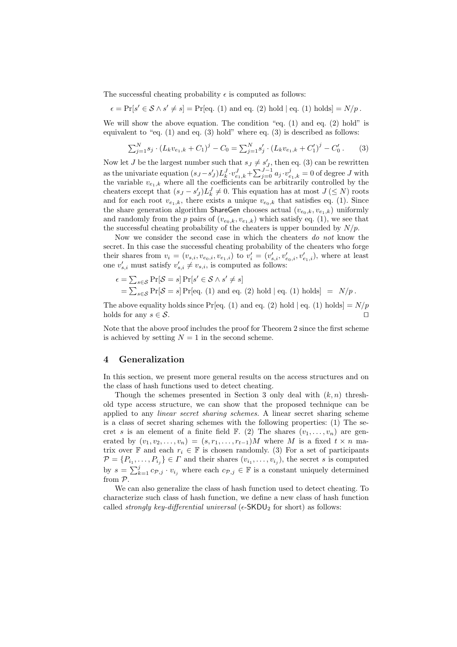The successful cheating probability  $\epsilon$  is computed as follows:

 $\epsilon = \Pr[s' \in \mathcal{S} \land s' \neq s] = \Pr[\text{eq. (1) and eq. (2) hold } | \text{ eq. (1) holds} ] = N/p$ .

We will show the above equation. The condition "eq.  $(1)$  and eq.  $(2)$  hold" is equivalent to "eq.  $(1)$  and eq.  $(3)$  hold" where eq.  $(3)$  is described as follows:

$$
\sum_{j=1}^{N} s_j \cdot (L_k v_{e_1,k} + C_1)^j - C_0 = \sum_{j=1}^{N} s'_j \cdot (L_k v_{e_1,k} + C'_1)^j - C'_0.
$$
 (3)

Now let *J* be the largest number such that  $s_J \neq s'_J$ , then eq. (3) can be rewritten as the univariate equation  $(s_J - s'_J)L_k^J \cdot v_{e_1,k}^J + \sum_{j=0}^{J-1} a_j \cdot v_{e_1,k}^j = 0$  of degree J with the variable  $v_{e_1,k}$  where all the coefficients can be arbitrarily controlled by the cheaters except that  $(s_J - s'_J)L_k^J \neq 0$ . This equation has at most  $J \leq N$  roots and for each root  $v_{e_1,k}$ , there exists a unique  $v_{e_0,k}$  that satisfies eq. (1). Since the share generation algorithm ShareGen chooses actual  $(v_{e_0,k}, v_{e_1,k})$  uniformly and randomly from the *p* pairs of  $(v_{e_0,k}, v_{e_1,k})$  which satisfy eq. (1), we see that the successful cheating probability of the cheaters is upper bounded by  $N/p$ .

Now we consider the second case in which the cheaters *do not* know the secret. In this case the successful cheating probability of the cheaters who forge their shares from  $v_i = (v_{s,i}, v_{e_0,i}, v_{e_1,i})$  to  $v'_i = (v'_{s,i}, v'_{e_0,i}, v'_{e_1,i})$ , where at least one  $v'_{s,i}$  must satisfy  $v'_{s,i} \neq v_{s,i}$ , is computed as follows:

$$
\epsilon = \sum_{s \in \mathcal{S}} \Pr[\mathcal{S} = s] \Pr[s' \in \mathcal{S} \land s' \neq s]
$$
  
= 
$$
\sum_{s \in \mathcal{S}} \Pr[\mathcal{S} = s] \Pr[\text{eq. (1) and eq. (2) hold } | \text{ eq. (1) holds}] = N/p.
$$

The above equality holds since Pr[eq.  $(1)$  and eq.  $(2)$  hold  $|$  eq.  $(1)$  holds] =  $N/p$ holds for any  $s \in \mathcal{S}$ .

Note that the above proof includes the proof for Theorem 2 since the first scheme is achieved by setting  $N = 1$  in the second scheme.

## **4 Generalization**

In this section, we present more general results on the access structures and on the class of hash functions used to detect cheating.

Though the schemes presented in Section 3 only deal with  $(k, n)$  threshold type access structure, we can show that the proposed technique can be applied to any *linear secret sharing schemes.* A linear secret sharing scheme is a class of secret sharing schemes with the following properties: (1) The secret *s* is an element of a finite field  $\mathbb{F}$ . (2) The shares  $(v_1, \ldots, v_n)$  are generated by  $(v_1, v_2, \ldots, v_n) = (s, r_1, \ldots, r_{t-1})M$  where M is a fixed  $t \times n$  matrix over  $\mathbb F$  and each  $r_i \in \mathbb F$  is chosen randomly. (3) For a set of participants  $\mathcal{P} = \{P_{i_1}, \ldots, P_{i_j}\} \in \Gamma$  and their shares  $(v_{i_1}, \ldots, v_{i_j})$ , the secret *s* is computed by  $s = \sum_{k=1}^{j} c_{P,j} \cdot v_{i_j}$  where each  $c_{P,j} \in \mathbb{F}$  is a constant uniquely determined from *P*.

We can also generalize the class of hash function used to detect cheating. To characterize such class of hash function, we define a new class of hash function called *strongly key-differential universal* ( $\epsilon$ -SKDU<sub>2</sub> for short) as follows: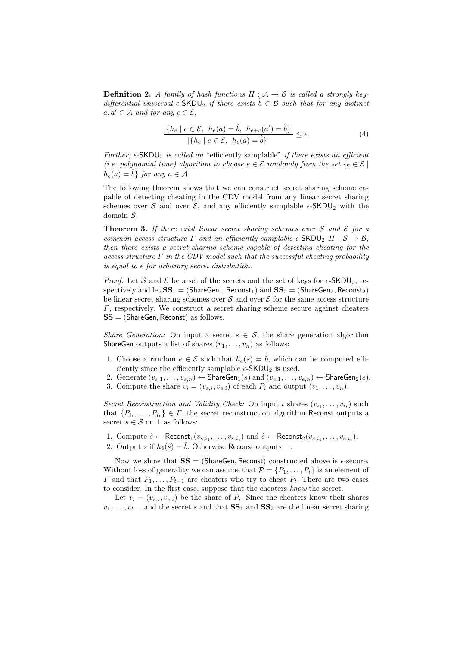**Definition 2.** *A family of hash functions*  $H: \mathcal{A} \rightarrow \mathcal{B}$  *is called a strongly keydifferential universal*  $\epsilon$ -SKDU<sub>2</sub> *if there exists*  $b \in \mathcal{B}$  *such that for any distinct*  $a, a' \in \mathcal{A}$  *and for any*  $c \in \mathcal{E}$ ,

$$
\frac{|\{h_e \mid e \in \mathcal{E}, h_e(a) = \hat{b}, h_{e+c}(a') = \hat{b}\}|}{|\{h_e \mid e \in \mathcal{E}, h_e(a) = \hat{b}\}|} \le \epsilon.
$$
\n(4)

*Further,*  $\epsilon$ -SKDU<sub>2</sub> *is called an* "efficiently samplable" *if there exists an efficient (i.e. polynomial time) algorithm to choose*  $e \in \mathcal{E}$  *randomly from the set*  $\{e \in \mathcal{E}$  $h_e(a) = b$ *for any*  $a \in \mathcal{A}$ *.* 

The following theorem shows that we can construct secret sharing scheme capable of detecting cheating in the CDV model from any linear secret sharing schemes over *S* and over *E*, and any efficiently samplable  $\epsilon$ -SKDU<sub>2</sub> with the domain *S*.

**Theorem 3.** If there exist linear secret sharing schemes over  $S$  and  $E$  for a *common access structure*  $\Gamma$  *and an efficiently samplable*  $\epsilon$ -SKDU<sub>2</sub>  $H : S \rightarrow B$ , *then there exists a secret sharing scheme capable of detecting cheating for the access structure Γ in the CDV model such that the successful cheating probability is equal to*  $\epsilon$  *for arbitrary secret distribution.* 

*Proof.* Let *S* and *E* be a set of the secrets and the set of keys for  $\epsilon$ -SKDU<sub>2</sub>, respectively and let  $SS_1 = (ShareGen_1, Record_1)$  and  $SS_2 = (ShareGen_2, Record_2)$ be linear secret sharing schemes over  $S$  and over  $\mathcal E$  for the same access structure *Γ*, respectively. We construct a secret sharing scheme secure against cheaters **SS** = (ShareGen*,* Reconst) as follows.

*Share Generation:* On input a secret  $s \in S$ , the share generation algorithm ShareGen outputs a list of shares  $(v_1, \ldots, v_n)$  as follows:

- 1. Choose a random  $e \in \mathcal{E}$  such that  $h_e(s) = \hat{b}$ , which can be computed efficiently since the efficiently samplable  $\epsilon$ -SKDU<sub>2</sub> is used.
- 2. Generate  $(v_{s,1}, \ldots, v_{s,n}) \leftarrow$  ShareGen<sub>1</sub>(*s*) and  $(v_{e,1}, \ldots, v_{e,n}) \leftarrow$  ShareGen<sub>2</sub>(*e*).
- 3. Compute the share  $v_i = (v_{s,i}, v_{e,i})$  of each  $P_i$  and output  $(v_1, \ldots, v_n)$ .

*Secret Reconstruction and Validity Check:* On input *t* shares  $(v_{i_1}, \ldots, v_{i_t})$  such that  $\{P_{i_1}, \ldots, P_{i_t}\} \in \Gamma$ , the secret reconstruction algorithm Reconst outputs a secret  $s \in \mathcal{S}$  or  $\perp$  as follows:

1. Compute  $\hat{s}$  ← Reconst<sub>1</sub>( $v_{s,i_1}, \ldots, v_{s,i_t}$ ) and  $\hat{e}$  ← Reconst<sub>2</sub>( $v_{e,i_1}, \ldots, v_{e,i_t}$ ). 2. Output *s* if  $h_{\hat{e}}(\hat{s}) = \hat{b}$ . Otherwise Reconst outputs  $\perp$ .

Now we show that  $SS = (ShareGen, Record)$  constructed above is  $\epsilon$ -secure. Without loss of generality we can assume that  $P = \{P_1, \ldots, P_t\}$  is an element of *Γ* and that  $P_1, \ldots, P_{t-1}$  are cheaters who try to cheat  $P_t$ . There are two cases to consider. In the first case, suppose that the cheaters *know* the secret.

Let  $v_i = (v_{s,i}, v_{e,i})$  be the share of  $P_i$ . Since the cheaters know their shares  $v_1, \ldots, v_{t-1}$  and the secret *s* and that  $SS_1$  and  $SS_2$  are the linear secret sharing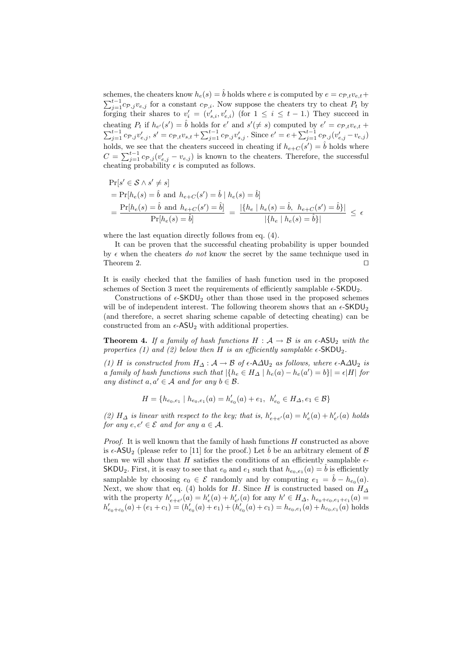schemes, the cheaters know  $h_e(s) = \hat{b}$  holds where *e* is computed by  $e = c_{p,t}v_{e,t} + c_{p,t}v_{e,t}$  $\sum_{j=1}^{t-1} c_{\mathcal{P},j} v_{e,j}$  for a constant  $c_{\mathcal{P},i}$ . Now suppose the cheaters try to cheat  $P_t$  by forging their shares to  $v'_i = (v'_{s,i}, v'_{e,i})$  (for  $1 \leq i \leq t-1$ .) They succeed in cheating  $P_t$  if  $h_{e'}(s') = \hat{b}$  holds for  $e'$  and  $s' (\neq s)$  computed by  $e' = c_{\mathcal{P},t} v_{e,t} +$  $\sum_{j=1}^{t-1} c_{\mathcal{P},j} v'_{e,j}, s' = c_{\mathcal{P},t} v_{s,t} + \sum_{j=1}^{t-1} c_{\mathcal{P},j} v'_{s,j}.$  Since  $e' = e + \sum_{j=1}^{t-1} c_{\mathcal{P},j} (v'_{e,j} - v_{e,j})$ holds, we see that the cheaters succeed in cheating if  $h_{e+C}(s') = \hat{b}$  holds where  $C = \sum_{j=1}^{t-1} c_{\mathcal{P},j} (v'_{e,j} - v_{e,j})$  is known to the cheaters. Therefore, the successful cheating probability  $\epsilon$  is computed as follows.

$$
\Pr[s' \in S \land s' \neq s] \n= \Pr[h_e(s) = \hat{b} \text{ and } h_{e+C}(s') = \hat{b} | h_e(s) = \hat{b}] \n= \frac{\Pr[h_e(s) = \hat{b} \text{ and } h_{e+C}(s') = \hat{b}]}{\Pr[h_e(s) = \hat{b}]} = \frac{|\{h_e \mid h_e(s) = \hat{b}, h_{e+C}(s') = \hat{b}\}|}{|\{h_e \mid h_e(s) = \hat{b}\}|} \leq \epsilon
$$

where the last equation directly follows from eq. (4).

It can be proven that the successful cheating probability is upper bounded by  $\epsilon$  when the cheaters *do not* know the secret by the same technique used in Theorem 2. **utilize the contract of the contract of the contract of the contract of the contract of the contract of the contract of the contract of the contract of the contract of the contract of the contract of the contra** 

It is easily checked that the families of hash function used in the proposed schemes of Section 3 meet the requirements of efficiently samplable  $\epsilon$ -SKDU<sub>2</sub>.

Constructions of  $\epsilon$ -SKDU<sub>2</sub> other than those used in the proposed schemes will be of independent interest. The following theorem shows that an  $\epsilon$ -SKDU<sub>2</sub> (and therefore, a secret sharing scheme capable of detecting cheating) can be constructed from an  $\epsilon$ -ASU<sub>2</sub> with additional properties.

**Theorem 4.** *If a family of hash functions*  $H : A \rightarrow B$  *is an*  $\epsilon$ -ASU<sub>2</sub> *with the properties (1) and (2) below then H is an efficiently samplable*  $\epsilon$ -SKDU<sub>2</sub>.

*(1) H is constructed from*  $H_∆$  :  $A → B$  *of*  $\epsilon$ - $A∆U_2$  *as follows, where*  $\epsilon$ - $A∆U_2$  *is* a family of hash functions such that  $|\{h_e \in H_\Delta \mid h_e(a) - h_e(a') = b\}| = \epsilon |H|$  for *any distinct*  $a, a' \in A$  *and for any*  $b \in B$ *.* 

$$
H = \{ h_{e_0, e_1} \mid h_{e_0, e_1}(a) = h'_{e_0}(a) + e_1, \ h'_{e_0} \in H_{\Delta}, e_1 \in \mathcal{B} \}
$$

(2)  $H_{\Delta}$  is linear with respect to the key; that is,  $h'_{e+e'}(a) = h'_{e}(a) + h'_{e'}(a)$  holds *for any*  $e, e' \in \mathcal{E}$  *and for any*  $a \in \mathcal{A}$ *.* 

*Proof.* It is well known that the family of hash functions *H* constructed as above is  $\epsilon$ -ASU<sub>2</sub> (please refer to [11] for the proof.) Let b be an arbitrary element of B then we will show that  $H$  satisfies the conditions of an efficiently samplable  $\epsilon$ -SKDU<sub>2</sub>. First, it is easy to see that  $e_0$  and  $e_1$  such that  $h_{e_0,e_1}(a) = \hat{b}$  is efficiently samplable by choosing  $e_0 \in \mathcal{E}$  randomly and by computing  $e_1 = \hat{b} - h_{e_0}(a)$ . Next, we show that eq. (4) holds for *H*. Since *H* is constructed based on  $H<sub>Δ</sub>$ with the property  $h'_{e+e'}(a) = h'_{e}(a) + h'_{e'}(a)$  for any  $h' \in H_{\Delta}, h_{e_0+e_0, e_1+c_1}(a) =$  $h'_{e_0+ c_0}(a) + (e_1 + c_1) = (h'_{e_0}(a) + e_1) + (h'_{c_0}(a) + c_1) = h_{e_0, e_1}(a) + h_{c_0, c_1}(a)$  holds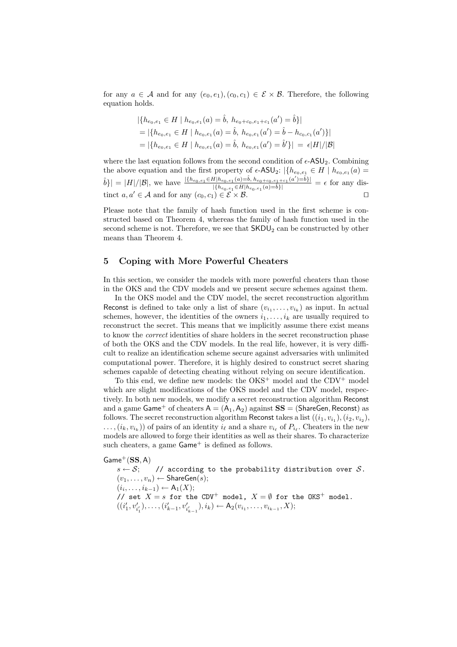for any  $a \in \mathcal{A}$  and for any  $(e_0, e_1), (c_0, c_1) \in \mathcal{E} \times \mathcal{B}$ . Therefore, the following equation holds.

$$
|\{h_{e_0,e_1} \in H \mid h_{e_0,e_1}(a) = \hat{b}, h_{e_0+c_0,e_1+c_1}(a') = \hat{b}\}|
$$
  
=  $|\{h_{e_0,e_1} \in H \mid h_{e_0,e_1}(a) = \hat{b}, h_{e_0,e_1}(a') = \hat{b} - h_{c_0,c_1}(a')\}|$   
=  $|\{h_{e_0,e_1} \in H \mid h_{e_0,e_1}(a) = \hat{b}, h_{e_0,e_1}(a') = \hat{b}'\}| = \epsilon |H|/|B|$ 

where the last equation follows from the second condition of  $\epsilon$ -ASU<sub>2</sub>. Combining the above equation and the first property of  $\epsilon$ -ASU<sub>2</sub>:  $|\{h_{e_0,e_1} \in H \mid h_{e_0,e_1}(a) =$  $|\hat{b}|\ = |H|/|\mathcal{B}|$ , we have  $\frac{|\{h_{e_0,e_1} \in H | h_{e_0,e_1}(a) = \hat{b}, h_{e_0+e_0,e_1+e_1}(a') = \hat{b}\}|}{|\{h\} - E|}$  $\frac{d}{d}$ <sub>*l*</sub><sup>*h*</sup>*e*<sub>0</sub>*,e*<sub>1</sub></sub> (*a*)=*o*<sup>*,t*</sup>*i*<sub>*e*<sub>0</sub>*,e*<sub>1</sub></sub> (*a*)=*o*<sup>*h*</sup><sub>*f*</sub><sup>*l*</sup> = *e* for any distinct *a*, *a*<sup> $′$ </sup> ∈ *A* and for any  $(c_0, c_1) \in \mathcal{E} \times \mathcal{B}$ .

Please note that the family of hash function used in the first scheme is constructed based on Theorem 4, whereas the family of hash function used in the second scheme is not. Therefore, we see that  $SKDU<sub>2</sub>$  can be constructed by other means than Theorem 4.

## **5 Coping with More Powerful Cheaters**

In this section, we consider the models with more powerful cheaters than those in the OKS and the CDV models and we present secure schemes against them.

In the OKS model and the CDV model, the secret reconstruction algorithm Reconst is defined to take only a list of share  $(v_{i_1}, \ldots, v_{i_k})$  as input. In actual schemes, however, the identities of the owners  $i_1, \ldots, i_k$  are usually required to reconstruct the secret. This means that we implicitly assume there exist means to know the *correct* identities of share holders in the secret reconstruction phase of both the OKS and the CDV models. In the real life, however, it is very difficult to realize an identification scheme secure against adversaries with unlimited computational power. Therefore, it is highly desired to construct secret sharing schemes capable of detecting cheating without relying on secure identification.

To this end, we define new models: the  $OKS<sup>+</sup>$  model and the  $CDV<sup>+</sup>$  model which are slight modifications of the OKS model and the CDV model, respectively. In both new models, we modify a secret reconstruction algorithm Reconst and a game Game<sup>+</sup> of cheaters  $A = (A_1, A_2)$  against  $SS = (ShareGen, Records)$  as follows. The secret reconstruction algorithm Reconst takes a list  $((i_1, v_{i_1}), (i_2, v_{i_2}),$  $\dots$ ,  $(i_k, v_{i_k})$  of pairs of an identity  $i_{\ell}$  and a share  $v_{i_{\ell}}$  of  $P_{i_{\ell}}$ . Cheaters in the new models are allowed to forge their identities as well as their shares. To characterize such cheaters, a game  $\mathsf{Game}^+$  is defined as follows.

# Game<sup>+</sup>(**SS***,*A)

 $s \leftarrow S$ ; // according to the probability distribution over *S*.  $(v_1, \ldots, v_n) \leftarrow$  ShareGen(*s*);  $(i_i, \ldots, i_{k-1}) \leftarrow A_1(X);$ // set  $X = s$  for the CDV<sup>+</sup> model,  $X = \emptyset$  for the OKS<sup>+</sup> model.  $((i'_1, v'_{i'_1}), \ldots, (i'_{k-1}, v'_{i'_{k-1}}), i_k) \leftarrow A_2(v_{i_1}, \ldots, v_{i_{k-1}}, X);$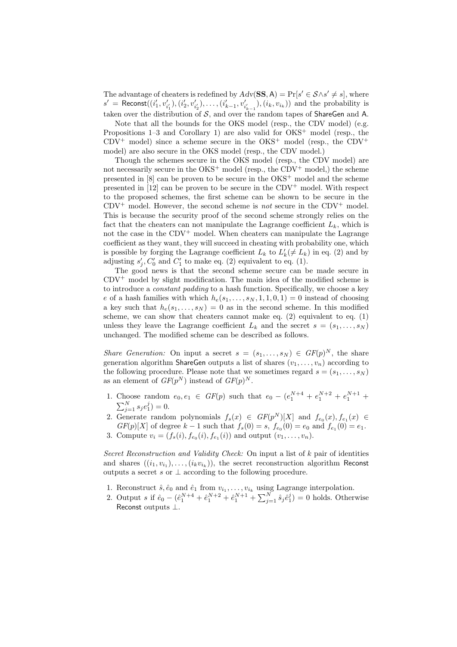The advantage of cheaters is redefined by  $Adv(\textbf{SS}, A) = Pr[s' \in S \land s' \neq s]$ , where  $s' = \text{Reconst}((i'_1, v'_{i'_1}), (i'_2, v'_{i'_2}), \dots, (i'_{k-1}, v'_{i'_{k-1}}), (i_k, v_{i_k}))$  and the probability is taken over the distribution of  $S$ , and over the random tapes of ShareGen and A.

Note that all the bounds for the OKS model (resp., the CDV model) (e.g. Propositions  $1-3$  and Corollary 1) are also valid for  $OKS<sup>+</sup>$  model (resp., the  $CDV^+$  model) since a scheme secure in the  $OKS^+$  model (resp., the  $CDV^+$ model) are also secure in the OKS model (resp., the CDV model.)

Though the schemes secure in the OKS model (resp., the CDV model) are not necessarily secure in the  $OKS^+$  model (resp., the CDV<sup>+</sup> model,) the scheme presented in  $[8]$  can be proven to be secure in the  $OKS<sup>+</sup>$  model and the scheme presented in  $[12]$  can be proven to be secure in the CDV<sup>+</sup> model. With respect to the proposed schemes, the first scheme can be shown to be secure in the  $CDV^+$  model. However, the second scheme is *not* secure in the  $CDV^+$  model. This is because the security proof of the second scheme strongly relies on the fact that the cheaters can not manipulate the Lagrange coefficient  $L_k$ , which is not the case in the  $CDV^+$  model. When cheaters can manipulate the Lagrange coefficient as they want, they will succeed in cheating with probability one, which is possible by forging the Lagrange coefficient  $L_k$  to  $L'_k (\neq L_k)$  in eq. (2) and by adjusting  $s'_{j}$ ,  $C'_{0}$  and  $C'_{1}$  to make eq. (2) equivalent to eq. (1).

The good news is that the second scheme secure can be made secure in  $CDV^+$  model by slight modification. The main idea of the modified scheme is to introduce a *constant padding* to a hash function. Specifically, we choose a key *e* of a hash families with which  $h_e(s_1, \ldots, s_N, 1, 1, 0, 1) = 0$  instead of choosing a key such that  $h_e(s_1, \ldots, s_N) = 0$  as in the second scheme. In this modified scheme, we can show that cheaters cannot make eq.  $(2)$  equivalent to eq.  $(1)$ unless they leave the Lagrange coefficient  $L_k$  and the secret  $s = (s_1, \ldots, s_N)$ unchanged. The modified scheme can be described as follows.

*Share Generation:* On input a secret  $s = (s_1, \ldots, s_N) \in GF(p)^N$ , the share generation algorithm **ShareGen** outputs a list of shares  $(v_1, \ldots, v_n)$  according to the following procedure. Please note that we sometimes regard  $s = (s_1, \ldots, s_N)$ as an element of  $GF(p^N)$  instead of  $GF(p)^N$ .

- 1. Choose random  $e_0, e_1 \in GF(p)$  such that  $e_0 (e_1^{N+4} + e_1^{N+2} + e_1^{N+1} +$  $\sum_{j=1}^{N} s_j e_1^j$  = 0.
- 2. Generate random polynomials  $f_s(x) \in GF(p^N)[X]$  and  $f_{e_0}(x), f_{e_1}(x) \in$  $GF(p)[X]$  of degree  $k-1$  such that  $f_s(0) = s$ ,  $f_{e_0}(0) = e_0$  and  $f_{e_1}(0) = e_1$ .
- 3. Compute  $v_i = (f_s(i), f_{e_0}(i), f_{e_1}(i))$  and output  $(v_1, \ldots, v_n)$ .

*Secret Reconstruction and Validity Check:* On input a list of *k* pair of identities and shares  $((i_1, v_{i_1}), \ldots, (i_k v_{i_k}))$ , the secret reconstruction algorithm Reconst outputs a secret *s* or *⊥* according to the following procedure.

- 1. Reconstruct  $\hat{s}, \hat{e}_0$  and  $\hat{e}_1$  from  $v_{i_1}, \ldots, v_{i_k}$  using Lagrange interpolation.
- 2. Output *s* if  $\hat{e}_0 (\hat{e}_1^{N+4} + \hat{e}_1^{N+2} + \hat{e}_1^{N+1} + \sum_{j=1}^N \hat{s}_j \hat{e}_1^j) = 0$  holds. Otherwise Reconst outputs *⊥*.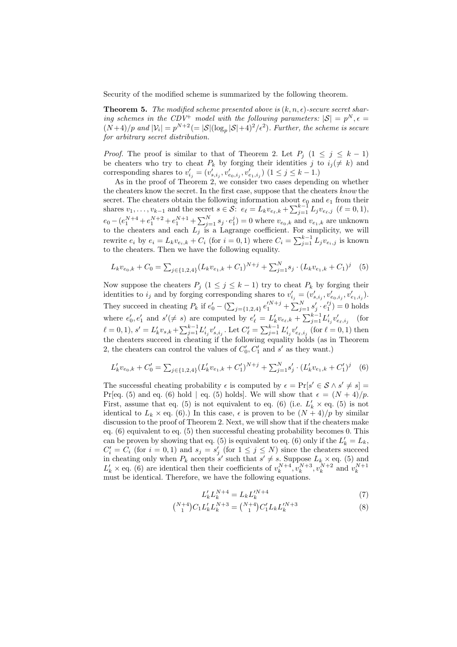Security of the modified scheme is summarized by the following theorem.

**Theorem 5.** The modified scheme presented above is  $(k, n, \epsilon)$ -secure secret shar*ing schemes in the CDV<sup>+</sup> model with the following parameters:*  $|S| = p^N, \epsilon =$  $(N+4)/p$  and  $|\mathcal{V}_i| = p^{N+2} (= |\mathcal{S}|(\log_p |\mathcal{S}| + 4)^2/\epsilon^2)$ . Further, the scheme is secure *for arbitrary secret distribution.*

*Proof.* The proof is similar to that of Theorem 2. Let  $P_j$  (1  $\leq j \leq k-1$ ) be cheaters who try to cheat  $P_k$  by forging their identities *j* to  $i_j \neq k$  and corresponding shares to  $v'_{i_j} = (v'_{s,i_j}, v'_{e_0,i_j}, v'_{e_1,i_j})$   $(1 \leq j \leq k - 1)$ 

As in the proof of Theorem 2, we consider two cases depending on whether the cheaters know the secret. In the first case, suppose that the cheaters *know* the secret. The cheaters obtain the following information about  $e_0$  and  $e_1$  from their shares  $v_1, \ldots, v_{k-1}$  and the secret  $s \in \mathcal{S}$ :  $e_{\ell} = L_k v_{e_{\ell},k} + \sum_{j=1}^{k-1} L_j v_{e_{\ell},j}$  ( $\ell = 0,1$ ),  $e_0 - (e_1^{N+4} + e_1^{N+2} + e_1^{N+1} + \sum_{j=1}^{N} s_j \cdot e_1^j) = 0$  where  $v_{e_0,k}$  and  $v_{e_1,k}$  are unknown to the cheaters and each  $L_j$  is a Lagrange coefficient. For simplicity, we will rewrite  $e_i$  by  $e_i = L_k v_{e_i,k} + C_i$  (for  $i = 0,1$ ) where  $C_i = \sum_{j=1}^{k-1} L_j v_{e_i,j}$  is known to the cheaters. Then we have the following equality.

$$
L_k v_{e_0,k} + C_0 = \sum_{j \in \{1,2,4\}} (L_k v_{e_1,k} + C_1)^{N+j} + \sum_{j=1}^N s_j \cdot (L_k v_{e_1,k} + C_1)^j \tag{5}
$$

Now suppose the cheaters  $P_j$  ( $1 \leq j \leq k-1$ ) try to cheat  $P_k$  by forging their identities to  $i_j$  and by forging corresponding shares to  $v'_{i_j} = (v'_{s,i_j}, v'_{e_0,i_j}, v'_{e_1,i_j}).$ They succeed in cheating  $P_k$  if  $e'_0 - (\sum_{j=\{1,2,4\}} e'^{N+j}_1 + \sum_{j=1}^N s'_j \cdot e'^j_1) = 0$  holds where  $e'_0, e'_1$  and  $s' (\neq s)$  are computed by  $e'_{\ell} = L'_k v_{e_{\ell},k} + \sum_{j=1}^{k-1} L'_{i_j} v'_{e_{\ell},i_j}$ (for  $\ell = 0, 1$ ,  $s' = L'_k v_{s,k} + \sum_{j=1}^{k-1} L'_{i_j} v'_{s,i_j}$ . Let  $C'_\ell = \sum_{j=1}^{k-1} L'_{i_j} v'_{e_\ell, i_j}$  (for  $\ell = 0, 1$ ) then the cheaters succeed in cheating if the following equality holds (as in Theorem 2, the cheaters can control the values of  $C'_{0}, C'_{1}$  and  $s'$  as they want.)

$$
L'_k v_{e_0,k} + C'_0 = \sum_{j \in \{1,2,4\}} (L'_k v_{e_1,k} + C'_1)^{N+j} + \sum_{j=1}^N s'_j \cdot (L'_k v_{e_1,k} + C'_1)^j \tag{6}
$$

The successful cheating probability  $\epsilon$  is computed by  $\epsilon = \Pr[s' \in S \land s' \neq s]$ Pr[eq. (5) and eq. (6) hold  $|$  eq. (5) holds]. We will show that  $\epsilon = (N+4)/p$ . First, assume that eq. (5) is not equivalent to eq. (6) (i.e.  $L'_{k} \times$  eq. (5) is not identical to  $L_k \times$  eq. (6).) In this case,  $\epsilon$  is proven to be  $(N+4)/p$  by similar discussion to the proof of Theorem 2. Next, we will show that if the cheaters make eq. (6) equivalent to eq. (5) then successful cheating probability becomes 0. This can be proven by showing that eq. (5) is equivalent to eq. (6) only if the  $L'_{k} = L_{k}$ ,  $C_i' = C_i$  (for  $i = 0, 1$ ) and  $s_j = s_j'$  (for  $1 \leq j \leq N$ ) since the cheaters succeed in cheating only when  $P_k$  accepts *s'* such that  $s' \neq s$ . Suppose  $L_k \times eq$ . (5) and  $L'_{k}$  × eq. (6) are identical then their coefficients of  $v_k^{N+4}, v_k^{N+3}, v_k^{N+2}$  and  $v_k^{N+1}$ must be identical. Therefore, we have the following equations.

$$
L'_{k}L_{k}^{N+4} = L_{k}L_{k}^{\prime N+4}
$$
\n(7)

$$
\binom{N+4}{1}C_1L'_kL_k^{N+3} = \binom{N+4}{1}C'_1L_kL_k^{N+3}
$$
\n(8)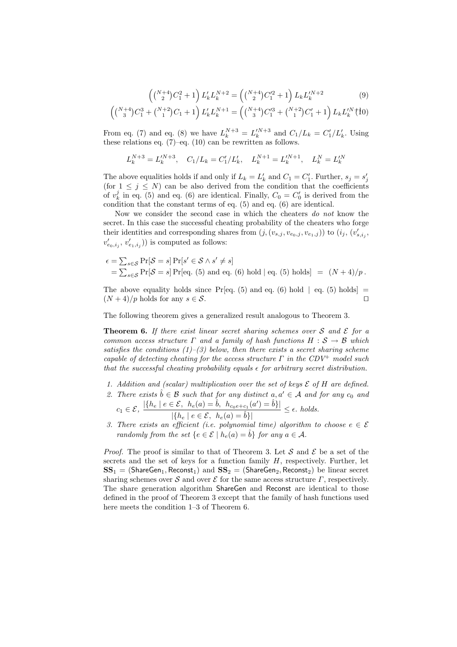$$
\left( \binom{N+4}{2} C_1^2 + 1 \right) L'_k L_k^{N+2} = \left( \binom{N+4}{2} C_1'^2 + 1 \right) L_k L'_k^{N+2} \tag{9}
$$
\n
$$
\left( \binom{N+4}{3} C_1^3 + \binom{N+2}{1} C_1 + 1 \right) L'_k L_k^{N+1} = \left( \binom{N+4}{3} C_1'^3 + \binom{N+2}{1} C_1' + 1 \right) L_k L'_k^{N} \tag{9}
$$

From eq. (7) and eq. (8) we have  $L_k^{N+3} = L_k^{\prime N+3}$  and  $C_1/L_k = C_1^{\prime}/L_k^{\prime}$ . Using these relations eq. (7)–eq. (10) can be rewritten as follows.

$$
L_k^{N+3} = L_k^{\prime N+3}, \quad C_1/L_k = C_1^{\prime}/L_k^{\prime}, \quad L_k^{N+1} = L_k^{\prime N+1}, \quad L_k^N = L_k^{\prime N}
$$

The above equalities holds if and only if  $L_k = L'_k$  and  $C_1 = C'_1$ . Further,  $s_j = s'_j$ (for  $1 \leq j \leq N$ ) can be also derived from the condition that the coefficients of  $v_k^j$  in eq. (5) and eq. (6) are identical. Finally,  $C_0 = C'_0$  is derived from the condition that the constant terms of eq. (5) and eq. (6) are identical.

Now we consider the second case in which the cheaters *do not* know the secret. In this case the successful cheating probability of the cheaters who forge their identities and corresponding shares from  $(j, (v_{s,j}, v_{e_0,j}, v_{e_1,j}))$  to  $(i_j, (v'_{s,i_j}, v_{e_1,j}))$  $v'_{e_0, i_j}, v'_{e_1, i_j})$  is computed as follows:

$$
\epsilon = \sum_{s \in \mathcal{S}} \Pr[\mathcal{S} = s] \Pr[s' \in \mathcal{S} \land s' \neq s]
$$
  
= 
$$
\sum_{s \in \mathcal{S}} \Pr[\mathcal{S} = s] \Pr[\text{eq. (5) and eq. (6) hold } | \text{ eq. (5) holds}] = (N + 4)/p.
$$

The above equality holds since  $Pr[eq. (5)$  and eq. (6) hold  $|$  eq. (5) holds  $|$  $(N+4)/p$  holds for any  $s \in \mathcal{S}$ .

The following theorem gives a generalized result analogous to Theorem 3.

**Theorem 6.** If there exist linear secret sharing schemes over  $S$  and  $E$  for a *common access structure*  $\Gamma$  *and a family of hash functions*  $H : S \rightarrow B$  *which satisfies the conditions (1)–(3) below, then there exists a secret sharing scheme capable of detecting cheating for the access structure Γ in the CDV*<sup>+</sup> *model such that the successful cheating probability equals*  $\epsilon$  *for arbitrary secret distribution.* 

- *1. Addition and (scalar) multiplication over the set of keys E of H are defined.*
- *2. There exists*  $\hat{b} \in \mathcal{B}$  *such that for any distinct*  $a, a' \in \mathcal{A}$  *and for any*  $c_0$  *and*  $c_1 \in \mathcal{E}, \frac{|\{h_e \mid e \in \mathcal{E}, h_e(a) = \hat{b}, h_{c_0 e + c_1}(a') = \hat{b}\}|}{\sum_{i=1}^n |a_i|}$

$$
\in \mathcal{E}, \frac{|\mathcal{C}^{\text{loc}} \cap C \subset \mathcal{C}|}{|\{h_e \mid e \in \mathcal{E}, h_e(a) = \hat{b}\}|} \leq \epsilon, \text{ holds.}
$$

3. There exists an efficient (i.e. polynomial time) algorithm to choose  $e \in \mathcal{E}$ *randomly from the set*  $\{e \in \mathcal{E} \mid h_e(a) = \hat{b}\}$  *for any*  $a \in \mathcal{A}$ *.* 

*Proof.* The proof is similar to that of Theorem 3. Let *S* and *E* be a set of the secrets and the set of keys for a function family *H*, respectively. Further, let  $SS_1 = (ShareGen_1, Reconst_1)$  and  $SS_2 = (ShareGen_2, Reconst_2)$  be linear secret sharing schemes over  $\mathcal S$  and over  $\mathcal E$  for the same access structure  $\Gamma$ , respectively. The share generation algorithm ShareGen and Reconst are identical to those defined in the proof of Theorem 3 except that the family of hash functions used here meets the condition 1–3 of Theorem 6.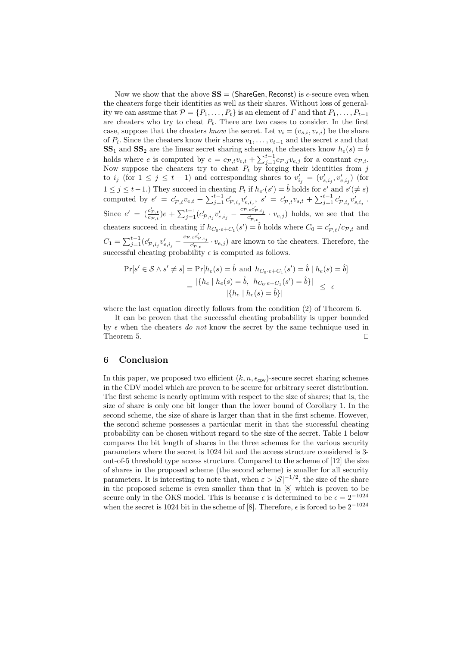Now we show that the above  $SS = (ShareGen, Reconst)$  is  $\epsilon$ -secure even when the cheaters forge their identities as well as their shares. Without loss of generality we can assume that  $\mathcal{P} = \{P_1, \ldots, P_t\}$  is an element of *Γ* and that  $P_1, \ldots, P_{t-1}$ are cheaters who try to cheat  $P_t$ . There are two cases to consider. In the first case, suppose that the cheaters *know* the secret. Let  $v_i = (v_{s,i}, v_{e,i})$  be the share of  $P_i$ . Since the cheaters know their shares  $v_1, \ldots, v_{t-1}$  and the secret *s* and that **SS**<sub>1</sub> and **SS**<sub>2</sub> are the linear secret sharing schemes, the cheaters know  $h_e(s) = \hat{b}$ holds where *e* is computed by  $e = c_{\mathcal{P},t}v_{e,t} + \sum_{j=1}^{t-1} c_{\mathcal{P},j}v_{e,j}$  for a constant  $c_{\mathcal{P},i}$ . Now suppose the cheaters try to cheat  $P_t$  by forging their identities from  $j$ to  $i_j$  (for  $1 \leq j \leq t-1$ ) and corresponding shares to  $v'_{i_j} = (v'_{s,i_j}, v'_{e,i_j})$  (for  $1 \leq j \leq t-1$ .) They succeed in cheating  $P_t$  if  $h_{e'}(s') = \hat{b}$  holds for  $e'$  and  $s'(\neq s)$ computed by  $e' = c'_{\mathcal{P},t} v_{e,t} + \sum_{j=1}^{t-1} c'_{\mathcal{P},i_j} v'_{e,i_j}, s' = c'_{\mathcal{P},t} v_{s,t} + \sum_{j=1}^{t-1} c'_{\mathcal{P},i_j} v'_{s,i_j}.$ Since  $e' = (\frac{c'_{p,t}}{c_{p,t}})e + \sum_{j=1}^{t-1} (c'_{p,i_j}v'_{e,i_j} - \frac{c_{p,t}c'_{p,i_j}}{c'_{p,t}} \cdot v_{e,j})$  holds, we see that the cheaters succeed in cheating if  $h_{C_0 \cdot e + C_1}(s') = \hat{b}$  holds where  $C_0 = c'_{\mathcal{P},t}/c_{\mathcal{P},t}$  and  $C_1 = \sum_{j=1}^{t-1} (c'_{\mathcal{P},i_j} v'_{e,i_j} - \frac{c_{\mathcal{P},i}c'_{\mathcal{P},i_j}}{c'_{\mathcal{P},t}} \cdot v_{e,j})$  are known to the cheaters. Therefore, the successful cheating probability  $\epsilon$  is computed as follows.

$$
\Pr[s' \in \mathcal{S} \land s' \neq s] = \Pr[h_e(s) = \hat{b} \text{ and } h_{C_0 \cdot e + C_1}(s') = \hat{b} \mid h_e(s) = \hat{b}]
$$

$$
= \frac{|\{h_e \mid h_e(s) = \hat{b}, h_{C_0 \cdot e + C_1}(s') = \hat{b}\}|}{|\{h_e \mid h_e(s) = \hat{b}\}|} \leq \epsilon
$$

where the last equation directly follows from the condition (2) of Theorem 6.

It can be proven that the successful cheating probability is upper bounded by  $\epsilon$  when the cheaters *do not* know the secret by the same technique used in Theorem 5. **utilize the contract of the contract of the contract of the contract of the contract of the contract of the contract of the contract of the contract of the contract of the contract of the contract of the contra** 

## **6 Conclusion**

In this paper, we proposed two efficient  $(k, n, \epsilon_{\text{cov}})$ -secure secret sharing schemes in the CDV model which are proven to be secure for arbitrary secret distribution. The first scheme is nearly optimum with respect to the size of shares; that is, the size of share is only one bit longer than the lower bound of Corollary 1. In the second scheme, the size of share is larger than that in the first scheme. However, the second scheme possesses a particular merit in that the successful cheating probability can be chosen without regard to the size of the secret. Table 1 below compares the bit length of shares in the three schemes for the various security parameters where the secret is 1024 bit and the access structure considered is 3 out-of-5 threshold type access structure. Compared to the scheme of [12] the size of shares in the proposed scheme (the second scheme) is smaller for all security parameters. It is interesting to note that, when  $\varepsilon > |\mathcal{S}|^{-1/2}$ , the size of the share in the proposed scheme is even smaller than that in [8] which is proven to be secure only in the OKS model. This is because  $\epsilon$  is determined to be  $\epsilon = 2^{-1024}$ when the secret is 1024 bit in the scheme of [8]. Therefore,  $\epsilon$  is forced to be  $2^{-1024}$